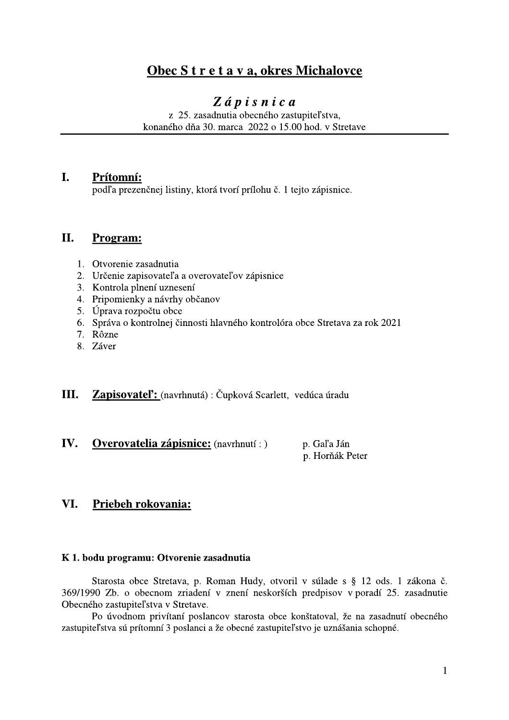## Obec S t r e t a v a, okres Michalovce

# $Z$ ápisnica

z 25. zasadnutia obecného zastupiteľstva, konaného dňa 30. marca 2022 o 15.00 hod. v Stretave

#### $\mathbf{I}$ . Prítomní:

podľa prezenčnej listiny, ktorá tvorí prílohu č. 1 tejto zápisnice.

#### II. Program:

- 1. Otvorenie zasadnutia
- 2. Určenie zapisovateľa a overovateľov zápisnice
- 3. Kontrola plnení uznesení
- 4. Pripomienky a návrhy občanov
- 5. Úprava rozpočtu obce
- 6. Správa o kontrolnej činnosti hlavného kontrolóra obce Stretava za rok 2021
- 7. Rôzne
- 8. Záver
- Ш. Zapisovateľ: (navrhnutá) : Čupková Scarlett, vedúca úradu
- IV. **Overovatelia zápisnice:** (navrhnutí : ) p. Gal'a Ján

p. Horňák Peter

#### VI. Priebeh rokovania:

#### K 1. bodu programu: Otvorenie zasadnutia

Starosta obce Stretava, p. Roman Hudy, otvoril v súlade s § 12 ods. 1 zákona č. 369/1990 Zb. o obecnom zriadení v znení neskorších predpisov v poradí 25. zasadnutie Obecného zastupiteľstva v Stretave.

Po úvodnom privítaní poslancov starosta obce konštatoval, že na zasadnutí obecného zastupiteľstva sú prítomní 3 poslanci a že obecné zastupiteľstvo je uznášania schopné.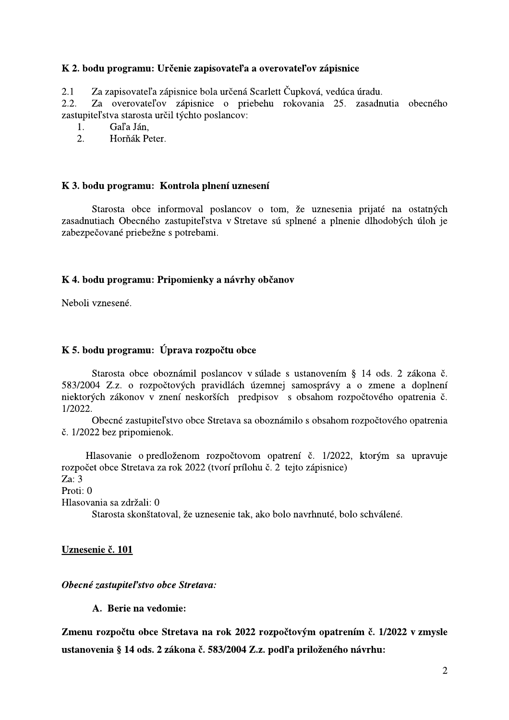### K 2. bodu programu: Určenie zapisovateľa a overovateľov zápisnice

Za zapisovateľa zápisnice bola určená Scarlett Čupková, vedúca úradu.  $2.1$ 

Za overovateľov zápisnice o priebehu rokovania 25. zasadnutia obecného  $2.2.$ zastupiteľstva starosta určil týchto poslancov:

Gaľa Ján,  $1.$ 

 $2.$ Horňák Peter.

#### K 3. bodu programu: Kontrola plnení uznesení

Starosta obce informoval poslancov o tom, že uznesenia prijaté na ostatných zasadnutiach Obecného zastupiteľstva v Stretave sú splnené a plnenie dlhodobých úloh je zabezpečované priebežne s potrebami.

### K 4. bodu programu: Pripomienky a návrhy občanov

Neboli vznesené.

### K 5. bodu programu: Úprava rozpočtu obce

Starosta obce oboznámil poslancov v súlade s ustanovením § 14 ods. 2 zákona č. 583/2004 Z.z. o rozpočtových pravidlách územnej samosprávy a o zmene a doplnení niektorých zákonov v znení neskorších predpisov s obsahom rozpočtového opatrenia č.  $1/2022$ .

Obecné zastupiteľstvo obce Stretava sa oboznámilo s obsahom rozpočtového opatrenia č. 1/2022 bez pripomienok.

Hlasovanie o predloženom rozpočtovom opatrení č. 1/2022, ktorým sa upravuje rozpočet obce Stretava za rok 2022 (tvorí prílohu č. 2 tejto zápisnice) Za:  $3$ Proti: 0 Hlasovania sa zdržali: 0

Starosta skonštatoval, že uznesenie tak, ako bolo navrhnuté, bolo schválené.

Uznesenie č. 101

Obecné zastupiteľstvo obce Stretava:

A. Berie na vedomie:

Zmenu rozpočtu obce Stretava na rok 2022 rozpočtovým opatrením č. 1/2022 v zmysle ustanovenia § 14 ods. 2 zákona č. 583/2004 Z.z. podľa priloženého návrhu: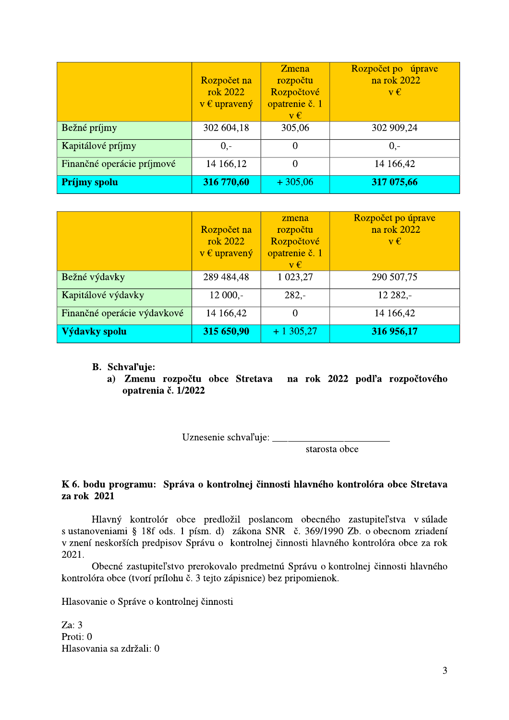|                            | Rozpočet na<br>rok 2022<br>$v \in$ upravený | <b>Z</b> mena<br>rozpočtu<br>Rozpočtové<br>opatrenie č. 1<br>$v \in$ | Rozpočet po úprave<br>na rok 2022<br>$v \in$ |
|----------------------------|---------------------------------------------|----------------------------------------------------------------------|----------------------------------------------|
| Bežné príjmy               | 302 604,18                                  | 305,06                                                               | 302 909,24                                   |
| Kapitálové príjmy          | $0 -$                                       | $\overline{0}$                                                       | $0,-$                                        |
| Finančné operácie príjmové | 14 166,12                                   | $\overline{0}$                                                       | 14 166,42                                    |
| <b>Príjmy spolu</b>        | 316 770,60                                  | $+305,06$                                                            | 317 075,66                                   |

|                             | Rozpočet na<br>rok 2022<br>$v \in$ upravený | zmena<br>rozpočtu<br>Rozpočtové<br>opatrenie č. 1<br>$v \in$ | Rozpočet po úprave<br>na rok 2022<br>$v \in$ |
|-----------------------------|---------------------------------------------|--------------------------------------------------------------|----------------------------------------------|
| Bežné výdavky               | 289 484,48                                  | 1 023,27                                                     | 290 507,75                                   |
| Kapitálové výdavky          | $12000,-$                                   | $282 -$                                                      | 12 282,-                                     |
| Finančné operácie výdavkové | 14 166,42                                   | $\theta$                                                     | 14 166,42                                    |
| Výdavky spolu               | 315 650,90                                  | $+1305,27$                                                   | 316 956,17                                   |

- B. Schval'uje:
	- a) Zmenu rozpočtu obce Stretava na rok 2022 podľa rozpočtového opatrenia č. 1/2022

starosta obce

### K 6. bodu programu: Správa o kontrolnej činnosti hlavného kontrolóra obce Stretava za rok 2021

Hlavný kontrolór obce predložil poslancom obecného zastupiteľstva v súlade s ustanoveniami § 18f ods. 1 písm. d) zákona SNR č. 369/1990 Zb. o obecnom zriadení v znení neskorších predpisov Správu o kontrolnej činnosti hlavného kontrolóra obce za rok 2021.

Obecné zastupiteľstvo prerokovalo predmetnú Správu o kontrolnej činnosti hlavného kontrolóra obce (tvorí prílohu č. 3 tejto zápisnice) bez pripomienok.

Hlasovanie o Správe o kontrolnej činnosti

Za:  $3$ Proti: 0 Hlasovania sa zdržali: 0